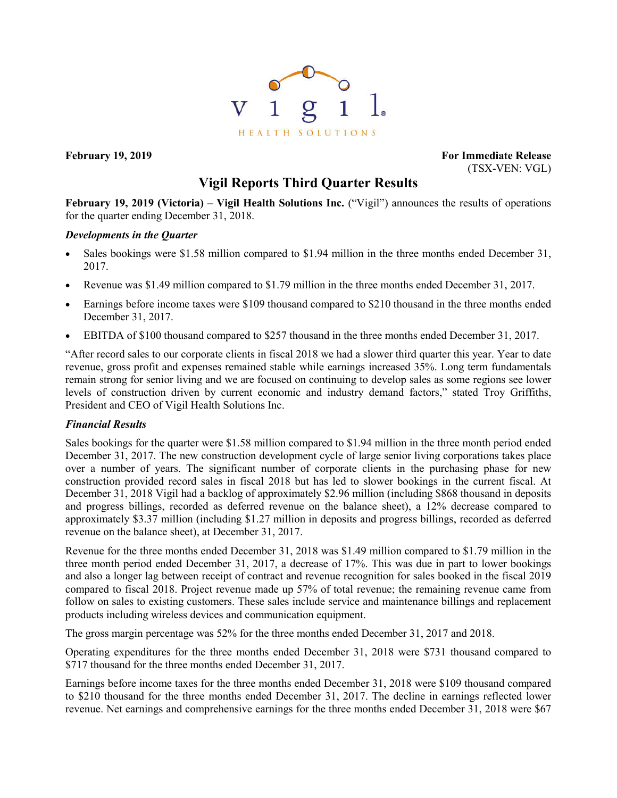

**February 19, 2019 For Immediate Release** (TSX-VEN: VGL)

## **Vigil Reports Third Quarter Results**

**February 19, 2019 (Victoria) – Vigil Health Solutions Inc.** ("Vigil") announces the results of operations for the quarter ending December 31, 2018.

## *Developments in the Quarter*

- Sales bookings were \$1.58 million compared to \$1.94 million in the three months ended December 31, 2017.
- Revenue was \$1.49 million compared to \$1.79 million in the three months ended December 31, 2017.
- Earnings before income taxes were \$109 thousand compared to \$210 thousand in the three months ended December 31, 2017.
- EBITDA of \$100 thousand compared to \$257 thousand in the three months ended December 31, 2017.

"After record sales to our corporate clients in fiscal 2018 we had a slower third quarter this year. Year to date revenue, gross profit and expenses remained stable while earnings increased 35%. Long term fundamentals remain strong for senior living and we are focused on continuing to develop sales as some regions see lower levels of construction driven by current economic and industry demand factors," stated Troy Griffiths, President and CEO of Vigil Health Solutions Inc.

## *Financial Results*

Sales bookings for the quarter were \$1.58 million compared to \$1.94 million in the three month period ended December 31, 2017. The new construction development cycle of large senior living corporations takes place over a number of years. The significant number of corporate clients in the purchasing phase for new construction provided record sales in fiscal 2018 but has led to slower bookings in the current fiscal. At December 31, 2018 Vigil had a backlog of approximately \$2.96 million (including \$868 thousand in deposits and progress billings, recorded as deferred revenue on the balance sheet), a 12% decrease compared to approximately \$3.37 million (including \$1.27 million in deposits and progress billings, recorded as deferred revenue on the balance sheet), at December 31, 2017.

Revenue for the three months ended December 31, 2018 was \$1.49 million compared to \$1.79 million in the three month period ended December 31, 2017, a decrease of 17%. This was due in part to lower bookings and also a longer lag between receipt of contract and revenue recognition for sales booked in the fiscal 2019 compared to fiscal 2018. Project revenue made up 57% of total revenue; the remaining revenue came from follow on sales to existing customers. These sales include service and maintenance billings and replacement products including wireless devices and communication equipment.

The gross margin percentage was 52% for the three months ended December 31, 2017 and 2018.

Operating expenditures for the three months ended December 31, 2018 were \$731 thousand compared to \$717 thousand for the three months ended December 31, 2017.

Earnings before income taxes for the three months ended December 31, 2018 were \$109 thousand compared to \$210 thousand for the three months ended December 31, 2017. The decline in earnings reflected lower revenue. Net earnings and comprehensive earnings for the three months ended December 31, 2018 were \$67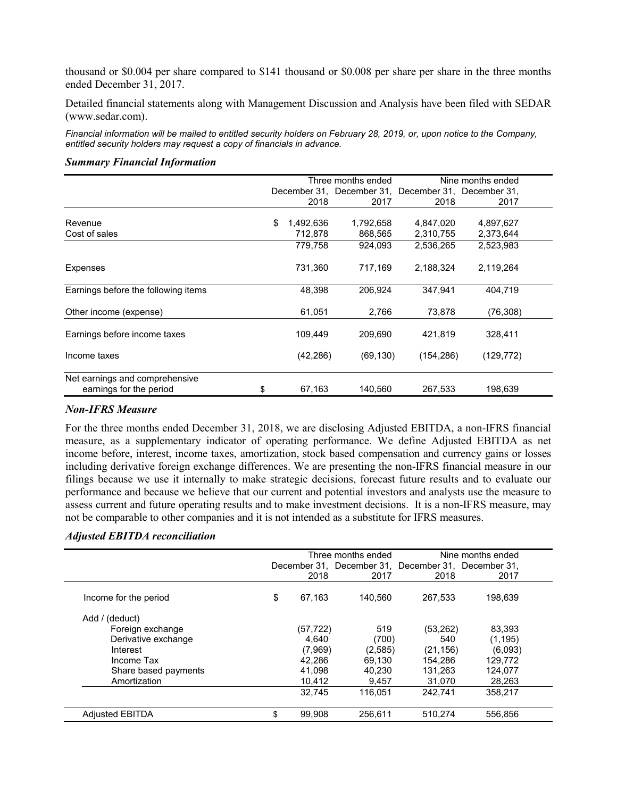thousand or \$0.004 per share compared to \$141 thousand or \$0.008 per share per share in the three months ended December 31, 2017.

Detailed financial statements along with Management Discussion and Analysis have been filed with SEDAR (www.sedar.com).

*Financial information will be mailed to entitled security holders on February 28, 2019, or, upon notice to the Company, entitled security holders may request a copy of financials in advance.*

# Three months ended Nine months ended December 31, December 31, December 31, December 31, 2018 2017 2018 2017 Revenue \$ 1,492,636 1,792,658 4,847,020 4,897,627 Cost of sales 68 and 2,373,644 **712,878** 868,565 2,310,755 2,373,644 779,758 924,093 2,536,265 2,523,983 Expenses 731,360 717,169 2,188,324 2,119,264 Earnings before the following items 48,398 206,924 347,941 404,719 Other income (expense) 61,051 2,766 73,878 (76,308) Earnings before income taxes 109,449 209,690 421,819 328,411 Income taxes (42,286) (69,130) (154,286) (129,772) Net earnings and comprehensive earnings for the period \$ 67,163 140,560 267,533 198,639

#### *Summary Financial Information*

#### *Non-IFRS Measure*

For the three months ended December 31, 2018, we are disclosing Adjusted EBITDA, a non-IFRS financial measure, as a supplementary indicator of operating performance. We define Adjusted EBITDA as net income before, interest, income taxes, amortization, stock based compensation and currency gains or losses including derivative foreign exchange differences. We are presenting the non-IFRS financial measure in our filings because we use it internally to make strategic decisions, forecast future results and to evaluate our performance and because we believe that our current and potential investors and analysts use the measure to assess current and future operating results and to make investment decisions. It is a non-IFRS measure, may not be comparable to other companies and it is not intended as a substitute for IFRS measures.

## *Adjusted EBITDA reconciliation*

|                        | Three months ended |          |         | Nine months ended                                   |          |  |
|------------------------|--------------------|----------|---------|-----------------------------------------------------|----------|--|
|                        |                    |          |         | December 31, December 31, December 31, December 31, |          |  |
|                        |                    | 2018     | 2017    | 2018                                                | 2017     |  |
| Income for the period  | \$                 | 67,163   | 140.560 | 267.533                                             | 198,639  |  |
| Add / (deduct)         |                    |          |         |                                                     |          |  |
| Foreign exchange       |                    | (57,722) | 519     | (53, 262)                                           | 83,393   |  |
| Derivative exchange    |                    | 4.640    | (700)   | 540                                                 | (1, 195) |  |
| Interest               |                    | (7,969)  | (2,585) | (21, 156)                                           | (6.093)  |  |
| Income Tax             |                    | 42.286   | 69.130  | 154.286                                             | 129.772  |  |
| Share based payments   |                    | 41,098   | 40,230  | 131,263                                             | 124,077  |  |
| Amortization           |                    | 10,412   | 9,457   | 31,070                                              | 28,263   |  |
|                        |                    | 32.745   | 116.051 | 242.741                                             | 358.217  |  |
| <b>Adjusted EBITDA</b> | \$                 | 99,908   | 256.611 | 510.274                                             | 556.856  |  |